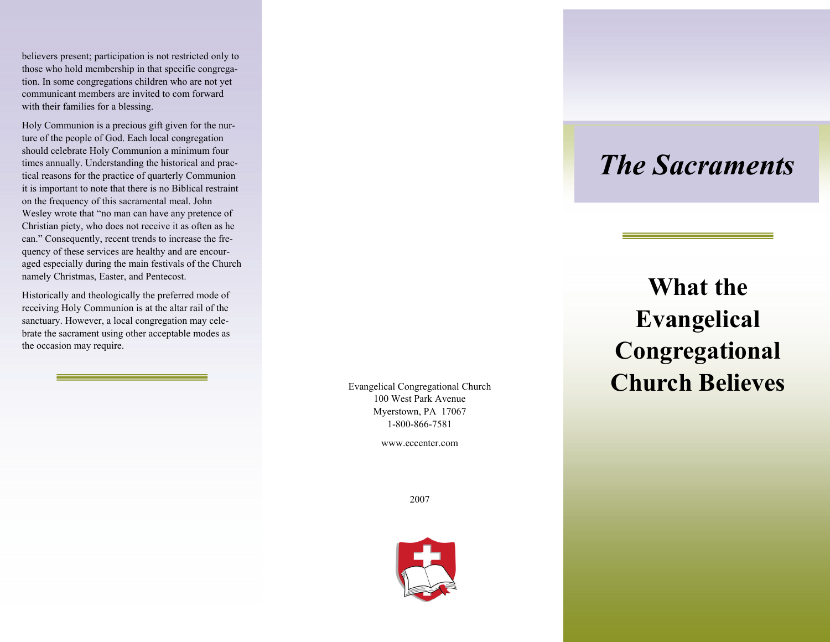believers present; participation is not restricted only to those who hold membership in that specific congregation. In some congregations children who are not yet communicant members are invited to com forward with their families for a blessing.

Holy Communion is a precious gift given for the nurture of the people of God. Each local congregation should celebrate Holy Communion a minimum four times annually. Understanding the historical and practical reasons for the practice of quarterly Communion it is important to note that there is no Biblical restraint on the frequency of this sacramental meal. John Wesley wrote that "no man can have any pretence of Christian piety, who does not receive it as often as he can." Consequently, recent trends to increase the frequency of these services are healthy and are encouraged especially during the main festivals of the Church namely Christmas, Easter, and Pentecost.

Historically and theologically the preferred mode of receiving Holy Communion is at the altar rail of the sanctuary. However, a local congregation may celebrate the sacrament using other acceptable modes as the occasion may require.

> Evangelical Congregational Church 100 West Park Avenue Myerstown, PA 17067 1-800-866-7581

> > www.eccenter.com

2007



## *The Sacraments*

## **What the Evangelical Congregational Church Believes**